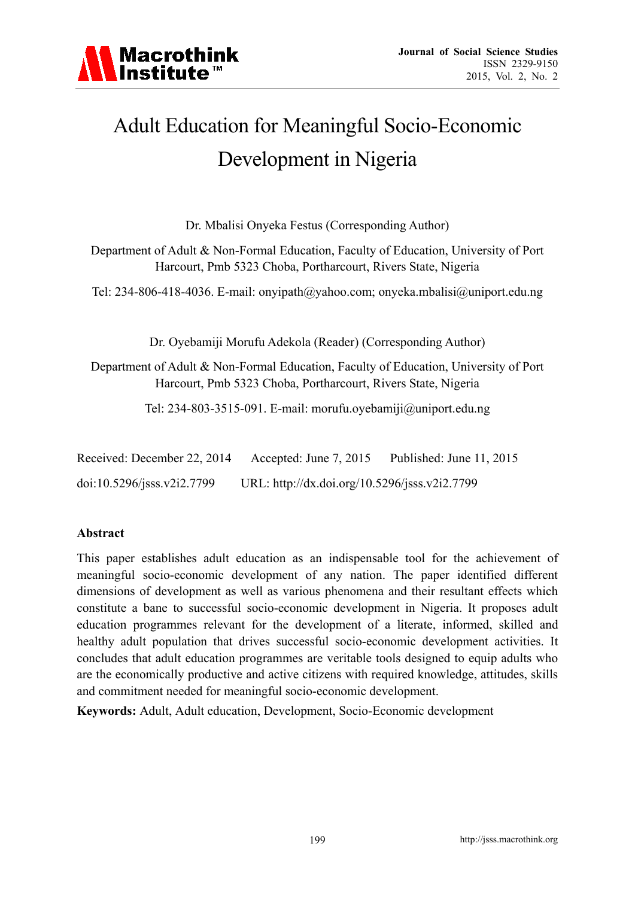

# Adult Education for Meaningful Socio-Economic Development in Nigeria

Dr. Mbalisi Onyeka Festus (Corresponding Author)

Department of Adult & Non-Formal Education, Faculty of Education, University of Port Harcourt, Pmb 5323 Choba, Portharcourt, Rivers State, Nigeria

Tel: 234-806-418-4036. E-mail: onyipath@yahoo.com; onyeka.mbalisi@uniport.edu.ng

Dr. Oyebamiji Morufu Adekola (Reader) (Corresponding Author)

Department of Adult & Non-Formal Education, Faculty of Education, University of Port Harcourt, Pmb 5323 Choba, Portharcourt, Rivers State, Nigeria

Tel: 234-803-3515-091. E-mail: morufu.oyebamiji@uniport.edu.ng

| Received: December 22, 2014      | Accepted: June $7, 2015$                      | Published: June 11, 2015 |
|----------------------------------|-----------------------------------------------|--------------------------|
| $doi:10.5296/$ isss. $v2i2.7799$ | URL: http://dx.doi.org/10.5296/jsss.v2i2.7799 |                          |

### **Abstract**

This paper establishes adult education as an indispensable tool for the achievement of meaningful socio-economic development of any nation. The paper identified different dimensions of development as well as various phenomena and their resultant effects which constitute a bane to successful socio-economic development in Nigeria. It proposes adult education programmes relevant for the development of a literate, informed, skilled and healthy adult population that drives successful socio-economic development activities. It concludes that adult education programmes are veritable tools designed to equip adults who are the economically productive and active citizens with required knowledge, attitudes, skills and commitment needed for meaningful socio-economic development.

**Keywords:** Adult, Adult education, Development, Socio-Economic development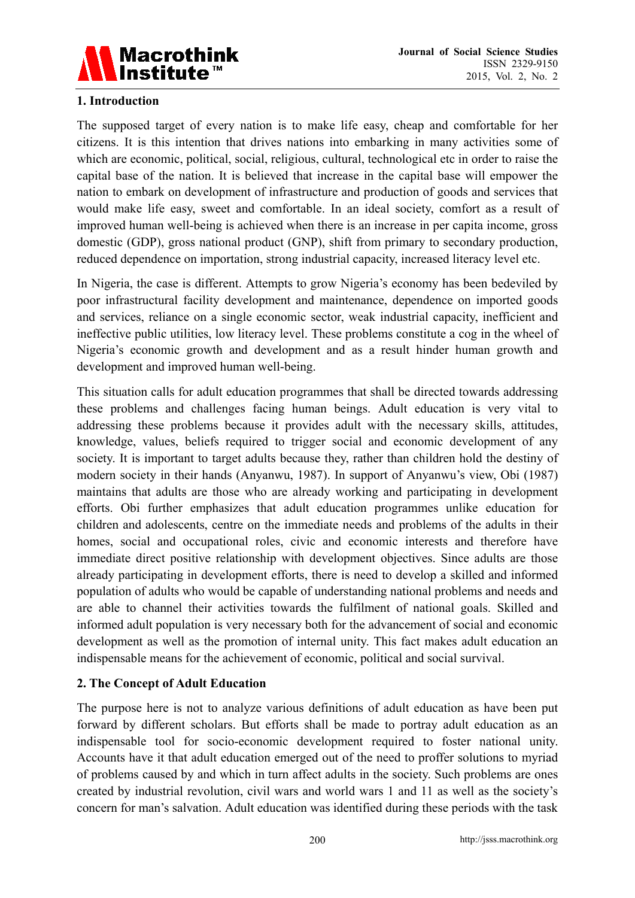

# **1. Introduction**

The supposed target of every nation is to make life easy, cheap and comfortable for her citizens. It is this intention that drives nations into embarking in many activities some of which are economic, political, social, religious, cultural, technological etc in order to raise the capital base of the nation. It is believed that increase in the capital base will empower the nation to embark on development of infrastructure and production of goods and services that would make life easy, sweet and comfortable. In an ideal society, comfort as a result of improved human well-being is achieved when there is an increase in per capita income, gross domestic (GDP), gross national product (GNP), shift from primary to secondary production, reduced dependence on importation, strong industrial capacity, increased literacy level etc.

In Nigeria, the case is different. Attempts to grow Nigeria's economy has been bedeviled by poor infrastructural facility development and maintenance, dependence on imported goods and services, reliance on a single economic sector, weak industrial capacity, inefficient and ineffective public utilities, low literacy level. These problems constitute a cog in the wheel of Nigeria's economic growth and development and as a result hinder human growth and development and improved human well-being.

This situation calls for adult education programmes that shall be directed towards addressing these problems and challenges facing human beings. Adult education is very vital to addressing these problems because it provides adult with the necessary skills, attitudes, knowledge, values, beliefs required to trigger social and economic development of any society. It is important to target adults because they, rather than children hold the destiny of modern society in their hands (Anyanwu, 1987). In support of Anyanwu's view, Obi (1987) maintains that adults are those who are already working and participating in development efforts. Obi further emphasizes that adult education programmes unlike education for children and adolescents, centre on the immediate needs and problems of the adults in their homes, social and occupational roles, civic and economic interests and therefore have immediate direct positive relationship with development objectives. Since adults are those already participating in development efforts, there is need to develop a skilled and informed population of adults who would be capable of understanding national problems and needs and are able to channel their activities towards the fulfilment of national goals. Skilled and informed adult population is very necessary both for the advancement of social and economic development as well as the promotion of internal unity. This fact makes adult education an indispensable means for the achievement of economic, political and social survival.

### **2. The Concept of Adult Education**

The purpose here is not to analyze various definitions of adult education as have been put forward by different scholars. But efforts shall be made to portray adult education as an indispensable tool for socio-economic development required to foster national unity. Accounts have it that adult education emerged out of the need to proffer solutions to myriad of problems caused by and which in turn affect adults in the society. Such problems are ones created by industrial revolution, civil wars and world wars 1 and 11 as well as the society's concern for man's salvation. Adult education was identified during these periods with the task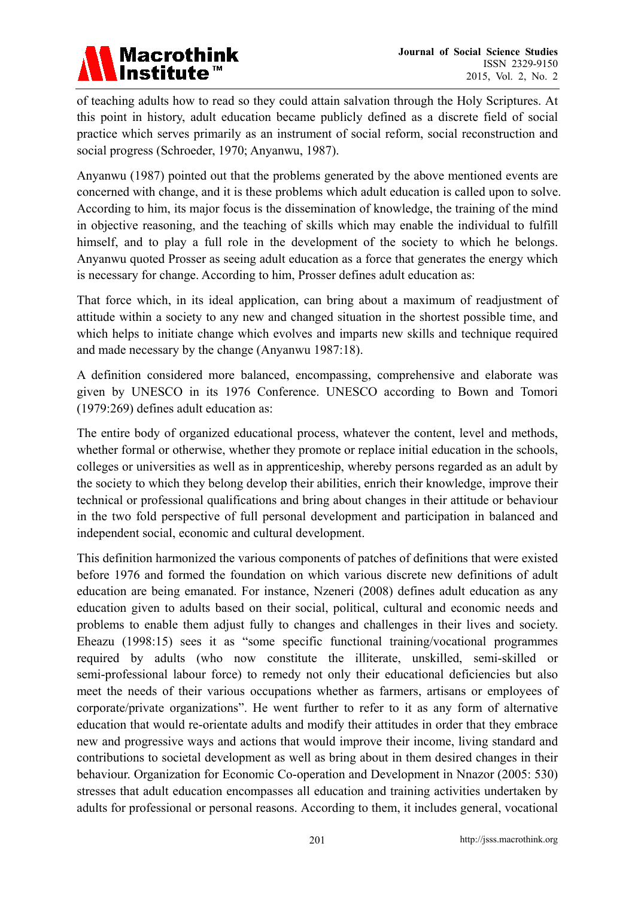of teaching adults how to read so they could attain salvation through the Holy Scriptures. At this point in history, adult education became publicly defined as a discrete field of social practice which serves primarily as an instrument of social reform, social reconstruction and social progress (Schroeder, 1970; Anyanwu, 1987).

Anyanwu (1987) pointed out that the problems generated by the above mentioned events are concerned with change, and it is these problems which adult education is called upon to solve. According to him, its major focus is the dissemination of knowledge, the training of the mind in objective reasoning, and the teaching of skills which may enable the individual to fulfill himself, and to play a full role in the development of the society to which he belongs. Anyanwu quoted Prosser as seeing adult education as a force that generates the energy which is necessary for change. According to him, Prosser defines adult education as:

That force which, in its ideal application, can bring about a maximum of readjustment of attitude within a society to any new and changed situation in the shortest possible time, and which helps to initiate change which evolves and imparts new skills and technique required and made necessary by the change (Anyanwu 1987:18).

A definition considered more balanced, encompassing, comprehensive and elaborate was given by UNESCO in its 1976 Conference. UNESCO according to Bown and Tomori (1979:269) defines adult education as:

The entire body of organized educational process, whatever the content, level and methods, whether formal or otherwise, whether they promote or replace initial education in the schools, colleges or universities as well as in apprenticeship, whereby persons regarded as an adult by the society to which they belong develop their abilities, enrich their knowledge, improve their technical or professional qualifications and bring about changes in their attitude or behaviour in the two fold perspective of full personal development and participation in balanced and independent social, economic and cultural development.

This definition harmonized the various components of patches of definitions that were existed before 1976 and formed the foundation on which various discrete new definitions of adult education are being emanated. For instance, Nzeneri (2008) defines adult education as any education given to adults based on their social, political, cultural and economic needs and problems to enable them adjust fully to changes and challenges in their lives and society. Eheazu (1998:15) sees it as "some specific functional training/vocational programmes required by adults (who now constitute the illiterate, unskilled, semi-skilled or semi-professional labour force) to remedy not only their educational deficiencies but also meet the needs of their various occupations whether as farmers, artisans or employees of corporate/private organizations". He went further to refer to it as any form of alternative education that would re-orientate adults and modify their attitudes in order that they embrace new and progressive ways and actions that would improve their income, living standard and contributions to societal development as well as bring about in them desired changes in their behaviour. Organization for Economic Co-operation and Development in Nnazor (2005: 530) stresses that adult education encompasses all education and training activities undertaken by adults for professional or personal reasons. According to them, it includes general, vocational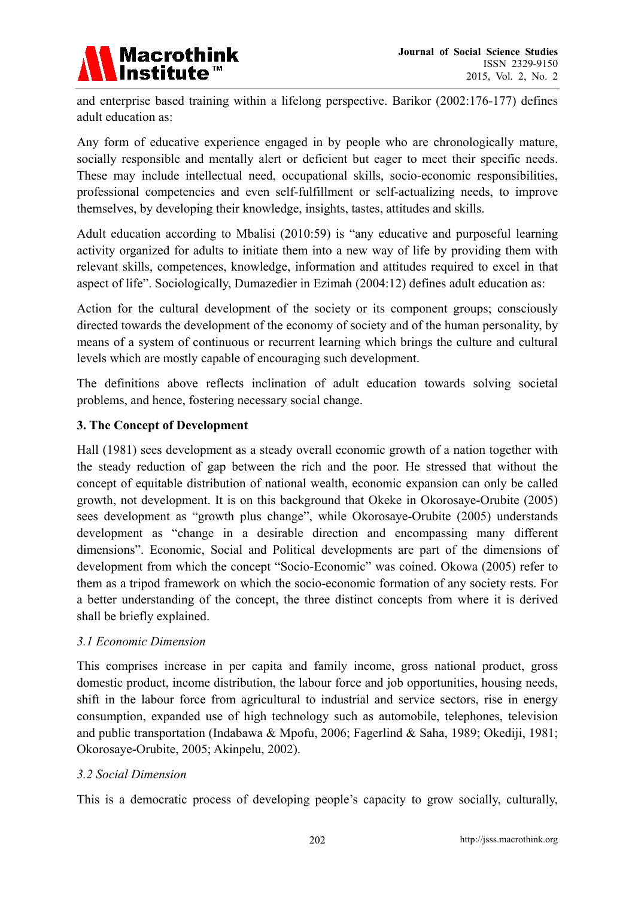

and enterprise based training within a lifelong perspective. Barikor (2002:176-177) defines adult education as:

Any form of educative experience engaged in by people who are chronologically mature, socially responsible and mentally alert or deficient but eager to meet their specific needs. These may include intellectual need, occupational skills, socio-economic responsibilities, professional competencies and even self-fulfillment or self-actualizing needs, to improve themselves, by developing their knowledge, insights, tastes, attitudes and skills.

Adult education according to Mbalisi (2010:59) is "any educative and purposeful learning activity organized for adults to initiate them into a new way of life by providing them with relevant skills, competences, knowledge, information and attitudes required to excel in that aspect of life". Sociologically, Dumazedier in Ezimah (2004:12) defines adult education as:

Action for the cultural development of the society or its component groups; consciously directed towards the development of the economy of society and of the human personality, by means of a system of continuous or recurrent learning which brings the culture and cultural levels which are mostly capable of encouraging such development.

The definitions above reflects inclination of adult education towards solving societal problems, and hence, fostering necessary social change.

# **3. The Concept of Development**

Hall (1981) sees development as a steady overall economic growth of a nation together with the steady reduction of gap between the rich and the poor. He stressed that without the concept of equitable distribution of national wealth, economic expansion can only be called growth, not development. It is on this background that Okeke in Okorosaye-Orubite (2005) sees development as "growth plus change", while Okorosaye-Orubite (2005) understands development as "change in a desirable direction and encompassing many different dimensions". Economic, Social and Political developments are part of the dimensions of development from which the concept "Socio-Economic" was coined. Okowa (2005) refer to them as a tripod framework on which the socio-economic formation of any society rests. For a better understanding of the concept, the three distinct concepts from where it is derived shall be briefly explained.

### *3.1 Economic Dimension*

This comprises increase in per capita and family income, gross national product, gross domestic product, income distribution, the labour force and job opportunities, housing needs, shift in the labour force from agricultural to industrial and service sectors, rise in energy consumption, expanded use of high technology such as automobile, telephones, television and public transportation (Indabawa & Mpofu, 2006; Fagerlind & Saha, 1989; Okediji, 1981; Okorosaye-Orubite, 2005; Akinpelu, 2002).

### *3.2 Social Dimension*

This is a democratic process of developing people's capacity to grow socially, culturally,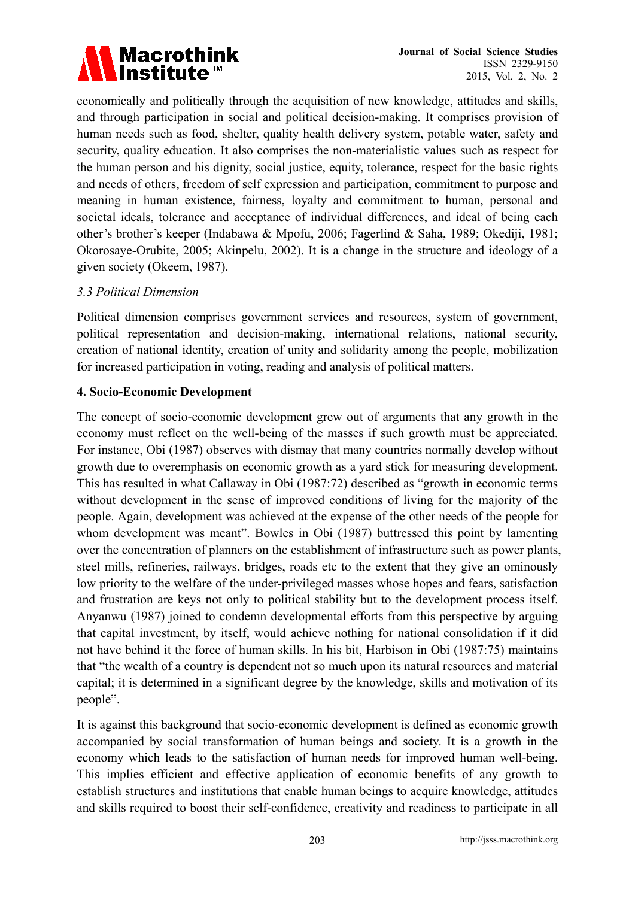# Macrothink<br>Institute™

economically and politically through the acquisition of new knowledge, attitudes and skills, and through participation in social and political decision-making. It comprises provision of human needs such as food, shelter, quality health delivery system, potable water, safety and security, quality education. It also comprises the non-materialistic values such as respect for the human person and his dignity, social justice, equity, tolerance, respect for the basic rights and needs of others, freedom of self expression and participation, commitment to purpose and meaning in human existence, fairness, loyalty and commitment to human, personal and societal ideals, tolerance and acceptance of individual differences, and ideal of being each other's brother's keeper (Indabawa & Mpofu, 2006; Fagerlind & Saha, 1989; Okediji, 1981; Okorosaye-Orubite, 2005; Akinpelu, 2002). It is a change in the structure and ideology of a given society (Okeem, 1987).

### *3.3 Political Dimension*

Political dimension comprises government services and resources, system of government, political representation and decision-making, international relations, national security, creation of national identity, creation of unity and solidarity among the people, mobilization for increased participation in voting, reading and analysis of political matters.

### **4. Socio-Economic Development**

The concept of socio-economic development grew out of arguments that any growth in the economy must reflect on the well-being of the masses if such growth must be appreciated. For instance, Obi (1987) observes with dismay that many countries normally develop without growth due to overemphasis on economic growth as a yard stick for measuring development. This has resulted in what Callaway in Obi (1987:72) described as "growth in economic terms without development in the sense of improved conditions of living for the majority of the people. Again, development was achieved at the expense of the other needs of the people for whom development was meant". Bowles in Obi (1987) buttressed this point by lamenting over the concentration of planners on the establishment of infrastructure such as power plants, steel mills, refineries, railways, bridges, roads etc to the extent that they give an ominously low priority to the welfare of the under-privileged masses whose hopes and fears, satisfaction and frustration are keys not only to political stability but to the development process itself. Anyanwu (1987) joined to condemn developmental efforts from this perspective by arguing that capital investment, by itself, would achieve nothing for national consolidation if it did not have behind it the force of human skills. In his bit, Harbison in Obi (1987:75) maintains that "the wealth of a country is dependent not so much upon its natural resources and material capital; it is determined in a significant degree by the knowledge, skills and motivation of its people".

It is against this background that socio-economic development is defined as economic growth accompanied by social transformation of human beings and society. It is a growth in the economy which leads to the satisfaction of human needs for improved human well-being. This implies efficient and effective application of economic benefits of any growth to establish structures and institutions that enable human beings to acquire knowledge, attitudes and skills required to boost their self-confidence, creativity and readiness to participate in all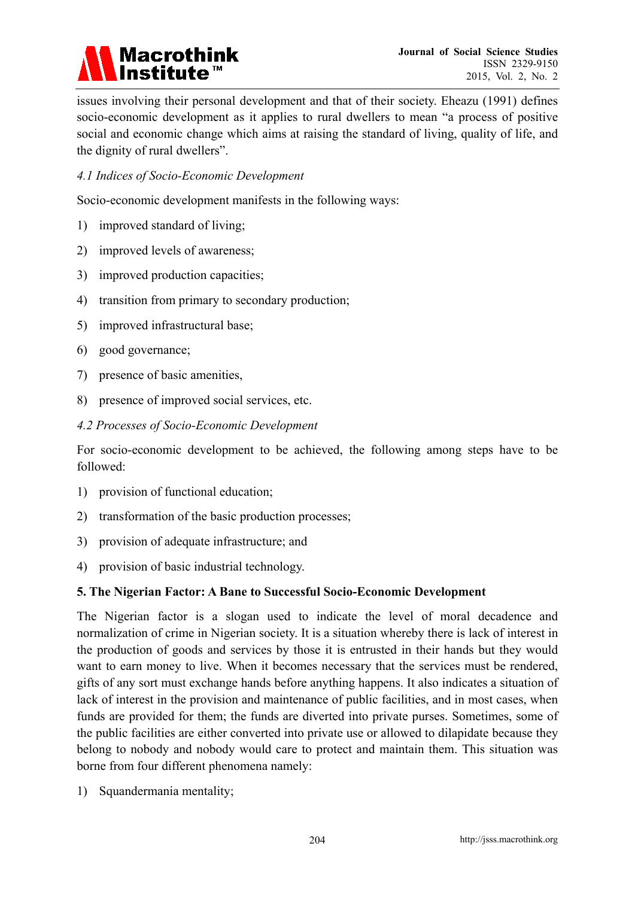

issues involving their personal development and that of their society. Eheazu (1991) defines socio-economic development as it applies to rural dwellers to mean "a process of positive social and economic change which aims at raising the standard of living, quality of life, and the dignity of rural dwellers".

#### *4.1 Indices of Socio-Economic Development*

Socio-economic development manifests in the following ways:

- 1) improved standard of living;
- 2) improved levels of awareness;
- 3) improved production capacities;
- 4) transition from primary to secondary production;
- 5) improved infrastructural base;
- 6) good governance;
- 7) presence of basic amenities,
- 8) presence of improved social services, etc.

#### *4.2 Processes of Socio-Economic Development*

For socio-economic development to be achieved, the following among steps have to be followed:

- 1) provision of functional education;
- 2) transformation of the basic production processes;
- 3) provision of adequate infrastructure; and
- 4) provision of basic industrial technology.

#### **5. The Nigerian Factor: A Bane to Successful Socio-Economic Development**

The Nigerian factor is a slogan used to indicate the level of moral decadence and normalization of crime in Nigerian society. It is a situation whereby there is lack of interest in the production of goods and services by those it is entrusted in their hands but they would want to earn money to live. When it becomes necessary that the services must be rendered, gifts of any sort must exchange hands before anything happens. It also indicates a situation of lack of interest in the provision and maintenance of public facilities, and in most cases, when funds are provided for them; the funds are diverted into private purses. Sometimes, some of the public facilities are either converted into private use or allowed to dilapidate because they belong to nobody and nobody would care to protect and maintain them. This situation was borne from four different phenomena namely:

1) Squandermania mentality;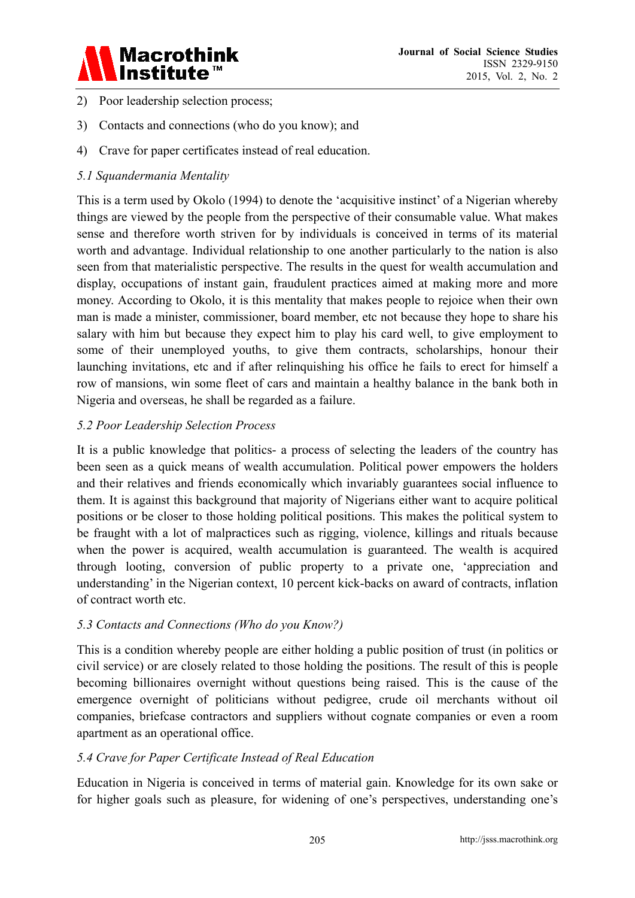

- 2) Poor leadership selection process;
- 3) Contacts and connections (who do you know); and
- 4) Crave for paper certificates instead of real education.
- *5.1 Squandermania Mentality*

This is a term used by Okolo (1994) to denote the 'acquisitive instinct' of a Nigerian whereby things are viewed by the people from the perspective of their consumable value. What makes sense and therefore worth striven for by individuals is conceived in terms of its material worth and advantage. Individual relationship to one another particularly to the nation is also seen from that materialistic perspective. The results in the quest for wealth accumulation and display, occupations of instant gain, fraudulent practices aimed at making more and more money. According to Okolo, it is this mentality that makes people to rejoice when their own man is made a minister, commissioner, board member, etc not because they hope to share his salary with him but because they expect him to play his card well, to give employment to some of their unemployed youths, to give them contracts, scholarships, honour their launching invitations, etc and if after relinquishing his office he fails to erect for himself a row of mansions, win some fleet of cars and maintain a healthy balance in the bank both in Nigeria and overseas, he shall be regarded as a failure.

### *5.2 Poor Leadership Selection Process*

It is a public knowledge that politics- a process of selecting the leaders of the country has been seen as a quick means of wealth accumulation. Political power empowers the holders and their relatives and friends economically which invariably guarantees social influence to them. It is against this background that majority of Nigerians either want to acquire political positions or be closer to those holding political positions. This makes the political system to be fraught with a lot of malpractices such as rigging, violence, killings and rituals because when the power is acquired, wealth accumulation is guaranteed. The wealth is acquired through looting, conversion of public property to a private one, 'appreciation and understanding' in the Nigerian context, 10 percent kick-backs on award of contracts, inflation of contract worth etc.

### *5.3 Contacts and Connections (Who do you Know?)*

This is a condition whereby people are either holding a public position of trust (in politics or civil service) or are closely related to those holding the positions. The result of this is people becoming billionaires overnight without questions being raised. This is the cause of the emergence overnight of politicians without pedigree, crude oil merchants without oil companies, briefcase contractors and suppliers without cognate companies or even a room apartment as an operational office.

# *5.4 Crave for Paper Certificate Instead of Real Education*

Education in Nigeria is conceived in terms of material gain. Knowledge for its own sake or for higher goals such as pleasure, for widening of one's perspectives, understanding one's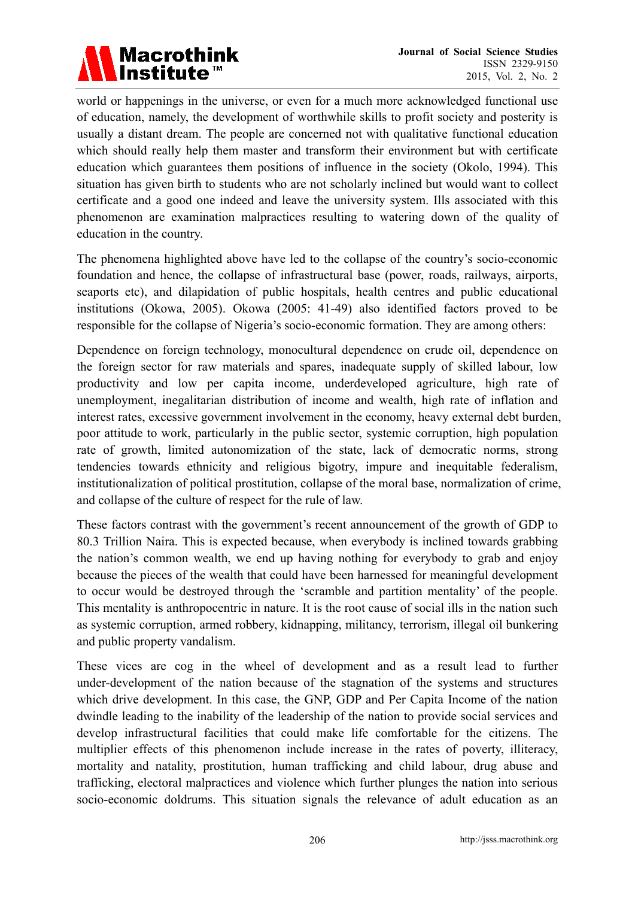

world or happenings in the universe, or even for a much more acknowledged functional use of education, namely, the development of worthwhile skills to profit society and posterity is usually a distant dream. The people are concerned not with qualitative functional education which should really help them master and transform their environment but with certificate education which guarantees them positions of influence in the society (Okolo, 1994). This situation has given birth to students who are not scholarly inclined but would want to collect certificate and a good one indeed and leave the university system. Ills associated with this phenomenon are examination malpractices resulting to watering down of the quality of education in the country.

The phenomena highlighted above have led to the collapse of the country's socio-economic foundation and hence, the collapse of infrastructural base (power, roads, railways, airports, seaports etc), and dilapidation of public hospitals, health centres and public educational institutions (Okowa, 2005). Okowa (2005: 41-49) also identified factors proved to be responsible for the collapse of Nigeria's socio-economic formation. They are among others:

Dependence on foreign technology, monocultural dependence on crude oil, dependence on the foreign sector for raw materials and spares, inadequate supply of skilled labour, low productivity and low per capita income, underdeveloped agriculture, high rate of unemployment, inegalitarian distribution of income and wealth, high rate of inflation and interest rates, excessive government involvement in the economy, heavy external debt burden, poor attitude to work, particularly in the public sector, systemic corruption, high population rate of growth, limited autonomization of the state, lack of democratic norms, strong tendencies towards ethnicity and religious bigotry, impure and inequitable federalism, institutionalization of political prostitution, collapse of the moral base, normalization of crime, and collapse of the culture of respect for the rule of law.

These factors contrast with the government's recent announcement of the growth of GDP to 80.3 Trillion Naira. This is expected because, when everybody is inclined towards grabbing the nation's common wealth, we end up having nothing for everybody to grab and enjoy because the pieces of the wealth that could have been harnessed for meaningful development to occur would be destroyed through the 'scramble and partition mentality' of the people. This mentality is anthropocentric in nature. It is the root cause of social ills in the nation such as systemic corruption, armed robbery, kidnapping, militancy, terrorism, illegal oil bunkering and public property vandalism.

These vices are cog in the wheel of development and as a result lead to further under-development of the nation because of the stagnation of the systems and structures which drive development. In this case, the GNP, GDP and Per Capita Income of the nation dwindle leading to the inability of the leadership of the nation to provide social services and develop infrastructural facilities that could make life comfortable for the citizens. The multiplier effects of this phenomenon include increase in the rates of poverty, illiteracy, mortality and natality, prostitution, human trafficking and child labour, drug abuse and trafficking, electoral malpractices and violence which further plunges the nation into serious socio-economic doldrums. This situation signals the relevance of adult education as an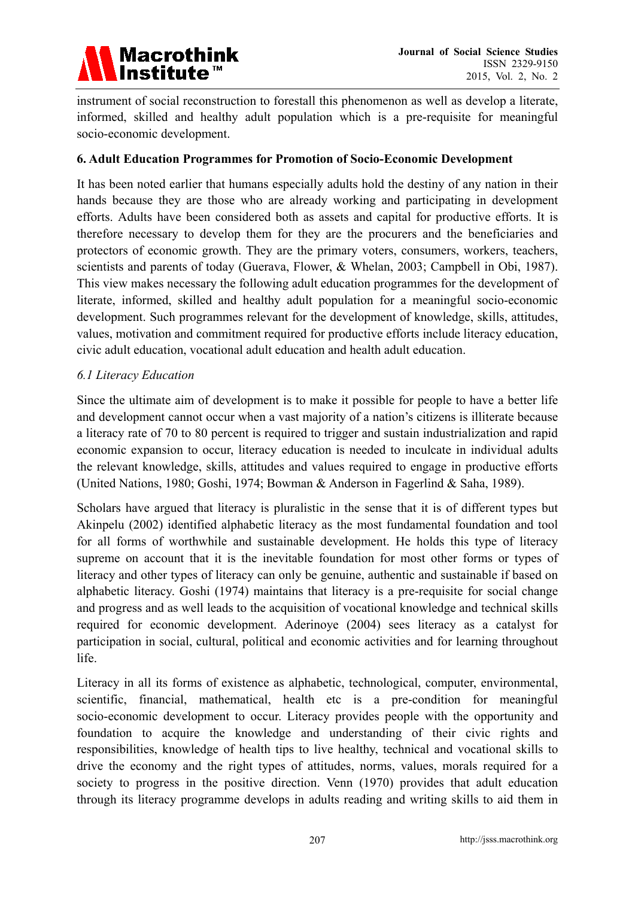

instrument of social reconstruction to forestall this phenomenon as well as develop a literate, informed, skilled and healthy adult population which is a pre-requisite for meaningful socio-economic development.

#### **6. Adult Education Programmes for Promotion of Socio-Economic Development**

It has been noted earlier that humans especially adults hold the destiny of any nation in their hands because they are those who are already working and participating in development efforts. Adults have been considered both as assets and capital for productive efforts. It is therefore necessary to develop them for they are the procurers and the beneficiaries and protectors of economic growth. They are the primary voters, consumers, workers, teachers, scientists and parents of today (Guerava, Flower, & Whelan, 2003; Campbell in Obi, 1987). This view makes necessary the following adult education programmes for the development of literate, informed, skilled and healthy adult population for a meaningful socio-economic development. Such programmes relevant for the development of knowledge, skills, attitudes, values, motivation and commitment required for productive efforts include literacy education, civic adult education, vocational adult education and health adult education.

#### *6.1 Literacy Education*

Since the ultimate aim of development is to make it possible for people to have a better life and development cannot occur when a vast majority of a nation's citizens is illiterate because a literacy rate of 70 to 80 percent is required to trigger and sustain industrialization and rapid economic expansion to occur, literacy education is needed to inculcate in individual adults the relevant knowledge, skills, attitudes and values required to engage in productive efforts (United Nations, 1980; Goshi, 1974; Bowman & Anderson in Fagerlind & Saha, 1989).

Scholars have argued that literacy is pluralistic in the sense that it is of different types but Akinpelu (2002) identified alphabetic literacy as the most fundamental foundation and tool for all forms of worthwhile and sustainable development. He holds this type of literacy supreme on account that it is the inevitable foundation for most other forms or types of literacy and other types of literacy can only be genuine, authentic and sustainable if based on alphabetic literacy. Goshi (1974) maintains that literacy is a pre-requisite for social change and progress and as well leads to the acquisition of vocational knowledge and technical skills required for economic development. Aderinoye (2004) sees literacy as a catalyst for participation in social, cultural, political and economic activities and for learning throughout life.

Literacy in all its forms of existence as alphabetic, technological, computer, environmental, scientific, financial, mathematical, health etc is a pre-condition for meaningful socio-economic development to occur. Literacy provides people with the opportunity and foundation to acquire the knowledge and understanding of their civic rights and responsibilities, knowledge of health tips to live healthy, technical and vocational skills to drive the economy and the right types of attitudes, norms, values, morals required for a society to progress in the positive direction. Venn (1970) provides that adult education through its literacy programme develops in adults reading and writing skills to aid them in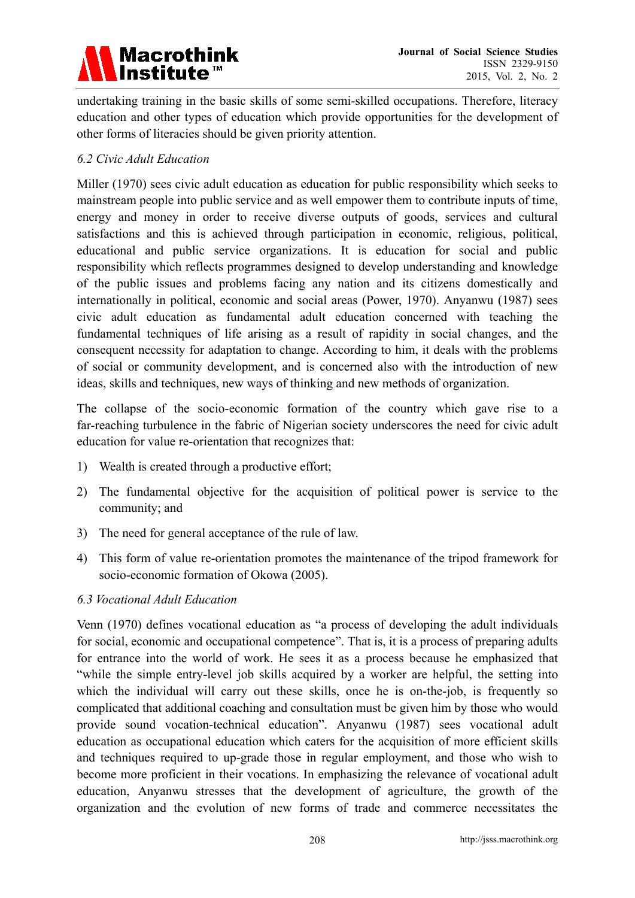

undertaking training in the basic skills of some semi-skilled occupations. Therefore, literacy education and other types of education which provide opportunities for the development of other forms of literacies should be given priority attention.

### *6.2 Civic Adult Education*

Miller (1970) sees civic adult education as education for public responsibility which seeks to mainstream people into public service and as well empower them to contribute inputs of time, energy and money in order to receive diverse outputs of goods, services and cultural satisfactions and this is achieved through participation in economic, religious, political, educational and public service organizations. It is education for social and public responsibility which reflects programmes designed to develop understanding and knowledge of the public issues and problems facing any nation and its citizens domestically and internationally in political, economic and social areas (Power, 1970). Anyanwu (1987) sees civic adult education as fundamental adult education concerned with teaching the fundamental techniques of life arising as a result of rapidity in social changes, and the consequent necessity for adaptation to change. According to him, it deals with the problems of social or community development, and is concerned also with the introduction of new ideas, skills and techniques, new ways of thinking and new methods of organization.

The collapse of the socio-economic formation of the country which gave rise to a far-reaching turbulence in the fabric of Nigerian society underscores the need for civic adult education for value re-orientation that recognizes that:

- 1) Wealth is created through a productive effort;
- 2) The fundamental objective for the acquisition of political power is service to the community; and
- 3) The need for general acceptance of the rule of law.
- 4) This form of value re-orientation promotes the maintenance of the tripod framework for socio-economic formation of Okowa (2005).

#### *6.3 Vocational Adult Education*

Venn (1970) defines vocational education as "a process of developing the adult individuals for social, economic and occupational competence". That is, it is a process of preparing adults for entrance into the world of work. He sees it as a process because he emphasized that "while the simple entry-level job skills acquired by a worker are helpful, the setting into which the individual will carry out these skills, once he is on-the-job, is frequently so complicated that additional coaching and consultation must be given him by those who would provide sound vocation-technical education". Anyanwu (1987) sees vocational adult education as occupational education which caters for the acquisition of more efficient skills and techniques required to up-grade those in regular employment, and those who wish to become more proficient in their vocations. In emphasizing the relevance of vocational adult education, Anyanwu stresses that the development of agriculture, the growth of the organization and the evolution of new forms of trade and commerce necessitates the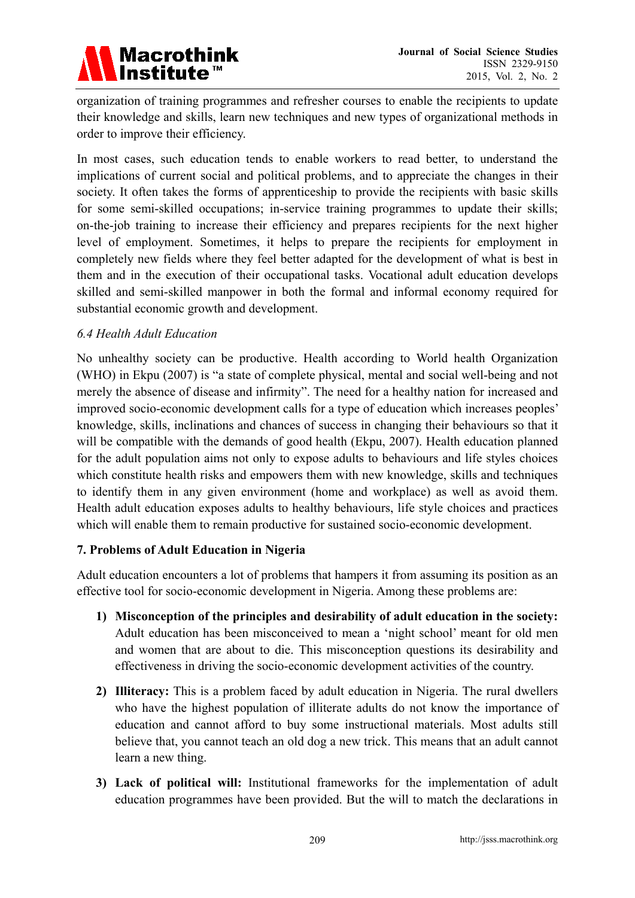

organization of training programmes and refresher courses to enable the recipients to update their knowledge and skills, learn new techniques and new types of organizational methods in order to improve their efficiency.

In most cases, such education tends to enable workers to read better, to understand the implications of current social and political problems, and to appreciate the changes in their society. It often takes the forms of apprenticeship to provide the recipients with basic skills for some semi-skilled occupations; in-service training programmes to update their skills; on-the-job training to increase their efficiency and prepares recipients for the next higher level of employment. Sometimes, it helps to prepare the recipients for employment in completely new fields where they feel better adapted for the development of what is best in them and in the execution of their occupational tasks. Vocational adult education develops skilled and semi-skilled manpower in both the formal and informal economy required for substantial economic growth and development.

### *6.4 Health Adult Education*

No unhealthy society can be productive. Health according to World health Organization (WHO) in Ekpu (2007) is "a state of complete physical, mental and social well-being and not merely the absence of disease and infirmity". The need for a healthy nation for increased and improved socio-economic development calls for a type of education which increases peoples' knowledge, skills, inclinations and chances of success in changing their behaviours so that it will be compatible with the demands of good health (Ekpu, 2007). Health education planned for the adult population aims not only to expose adults to behaviours and life styles choices which constitute health risks and empowers them with new knowledge, skills and techniques to identify them in any given environment (home and workplace) as well as avoid them. Health adult education exposes adults to healthy behaviours, life style choices and practices which will enable them to remain productive for sustained socio-economic development.

### **7. Problems of Adult Education in Nigeria**

Adult education encounters a lot of problems that hampers it from assuming its position as an effective tool for socio-economic development in Nigeria. Among these problems are:

- **1) Misconception of the principles and desirability of adult education in the society:**  Adult education has been misconceived to mean a 'night school' meant for old men and women that are about to die. This misconception questions its desirability and effectiveness in driving the socio-economic development activities of the country.
- **2) Illiteracy:** This is a problem faced by adult education in Nigeria. The rural dwellers who have the highest population of illiterate adults do not know the importance of education and cannot afford to buy some instructional materials. Most adults still believe that, you cannot teach an old dog a new trick. This means that an adult cannot learn a new thing.
- **3) Lack of political will:** Institutional frameworks for the implementation of adult education programmes have been provided. But the will to match the declarations in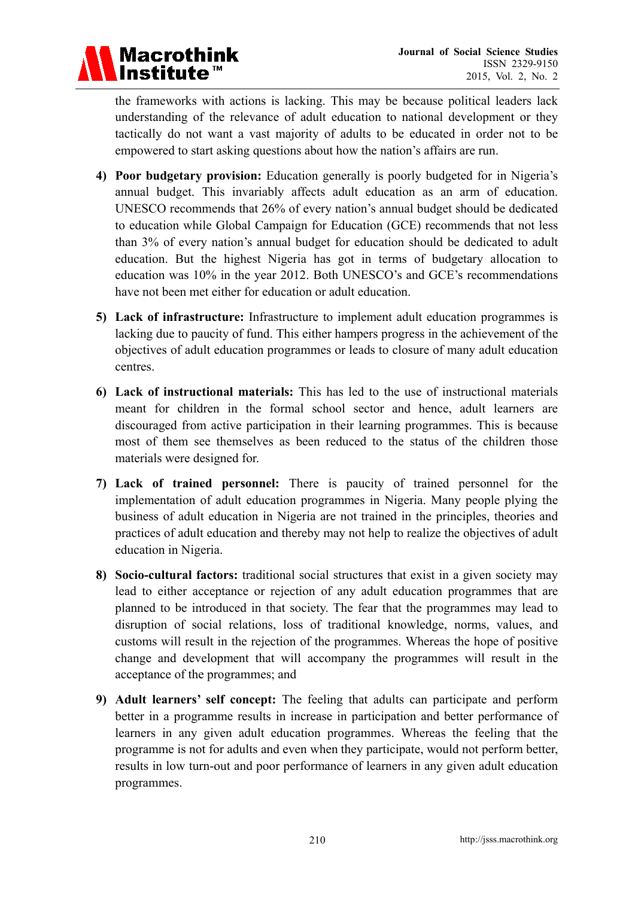

the frameworks with actions is lacking. This may be because political leaders lack understanding of the relevance of adult education to national development or they tactically do not want a vast majority of adults to be educated in order not to be empowered to start asking questions about how the nation's affairs are run.

- **4) Poor budgetary provision:** Education generally is poorly budgeted for in Nigeria's annual budget. This invariably affects adult education as an arm of education. UNESCO recommends that 26% of every nation's annual budget should be dedicated to education while Global Campaign for Education (GCE) recommends that not less than 3% of every nation's annual budget for education should be dedicated to adult education. But the highest Nigeria has got in terms of budgetary allocation to education was 10% in the year 2012. Both UNESCO's and GCE's recommendations have not been met either for education or adult education.
- **5) Lack of infrastructure:** Infrastructure to implement adult education programmes is lacking due to paucity of fund. This either hampers progress in the achievement of the objectives of adult education programmes or leads to closure of many adult education centres.
- **6) Lack of instructional materials:** This has led to the use of instructional materials meant for children in the formal school sector and hence, adult learners are discouraged from active participation in their learning programmes. This is because most of them see themselves as been reduced to the status of the children those materials were designed for.
- **7) Lack of trained personnel:** There is paucity of trained personnel for the implementation of adult education programmes in Nigeria. Many people plying the business of adult education in Nigeria are not trained in the principles, theories and practices of adult education and thereby may not help to realize the objectives of adult education in Nigeria.
- **8) Socio-cultural factors:** traditional social structures that exist in a given society may lead to either acceptance or rejection of any adult education programmes that are planned to be introduced in that society. The fear that the programmes may lead to disruption of social relations, loss of traditional knowledge, norms, values, and customs will result in the rejection of the programmes. Whereas the hope of positive change and development that will accompany the programmes will result in the acceptance of the programmes; and
- **9) Adult learners' self concept:** The feeling that adults can participate and perform better in a programme results in increase in participation and better performance of learners in any given adult education programmes. Whereas the feeling that the programme is not for adults and even when they participate, would not perform better, results in low turn-out and poor performance of learners in any given adult education programmes.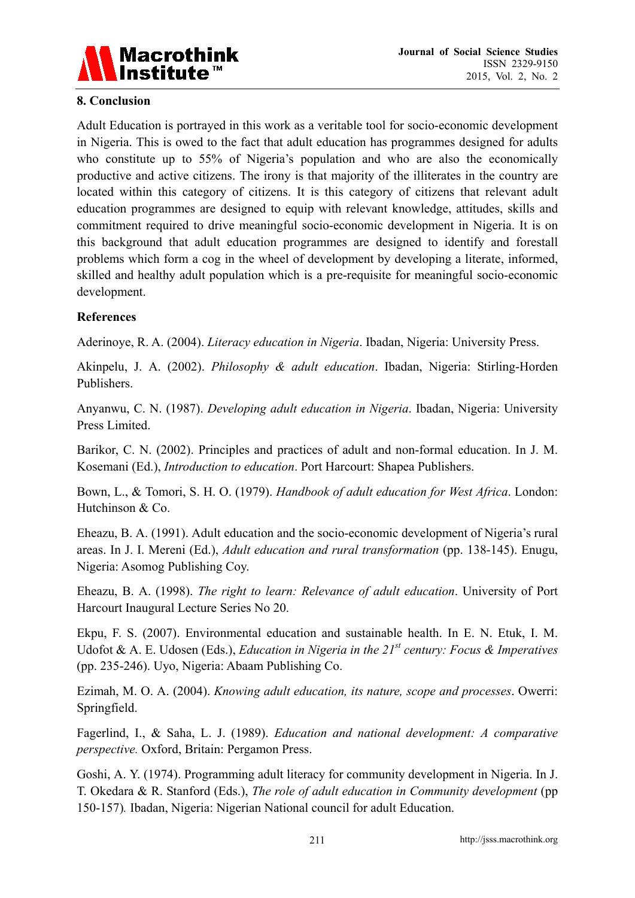

## **8. Conclusion**

Adult Education is portrayed in this work as a veritable tool for socio-economic development in Nigeria. This is owed to the fact that adult education has programmes designed for adults who constitute up to 55% of Nigeria's population and who are also the economically productive and active citizens. The irony is that majority of the illiterates in the country are located within this category of citizens. It is this category of citizens that relevant adult education programmes are designed to equip with relevant knowledge, attitudes, skills and commitment required to drive meaningful socio-economic development in Nigeria. It is on this background that adult education programmes are designed to identify and forestall problems which form a cog in the wheel of development by developing a literate, informed, skilled and healthy adult population which is a pre-requisite for meaningful socio-economic development.

### **References**

Aderinoye, R. A. (2004). *Literacy education in Nigeria*. Ibadan, Nigeria: University Press.

Akinpelu, J. A. (2002). *Philosophy & adult education*. Ibadan, Nigeria: Stirling-Horden Publishers.

Anyanwu, C. N. (1987). *Developing adult education in Nigeria*. Ibadan, Nigeria: University Press Limited.

Barikor, C. N. (2002). Principles and practices of adult and non-formal education. In J. M. Kosemani (Ed.), *Introduction to education*. Port Harcourt: Shapea Publishers.

Bown, L., & Tomori, S. H. O. (1979). *Handbook of adult education for West Africa*. London: Hutchinson & Co.

Eheazu, B. A. (1991). Adult education and the socio-economic development of Nigeria's rural areas. In J. I. Mereni (Ed.), *Adult education and rural transformation* (pp. 138-145). Enugu, Nigeria: Asomog Publishing Coy.

Eheazu, B. A. (1998). *The right to learn: Relevance of adult education*. University of Port Harcourt Inaugural Lecture Series No 20.

Ekpu, F. S. (2007). Environmental education and sustainable health. In E. N. Etuk, I. M. Udofot & A. E. Udosen (Eds.), *Education in Nigeria in the 21st century: Focus & Imperatives*  (pp. 235-246). Uyo, Nigeria: Abaam Publishing Co.

Ezimah, M. O. A. (2004). *Knowing adult education, its nature, scope and processes*. Owerri: Springfield.

Fagerlind, I., & Saha, L. J. (1989). *Education and national development: A comparative perspective.* Oxford, Britain: Pergamon Press.

Goshi, A. Y. (1974). Programming adult literacy for community development in Nigeria. In J. T. Okedara & R. Stanford (Eds.), *The role of adult education in Community development* (pp 150-157)*.* Ibadan, Nigeria: Nigerian National council for adult Education.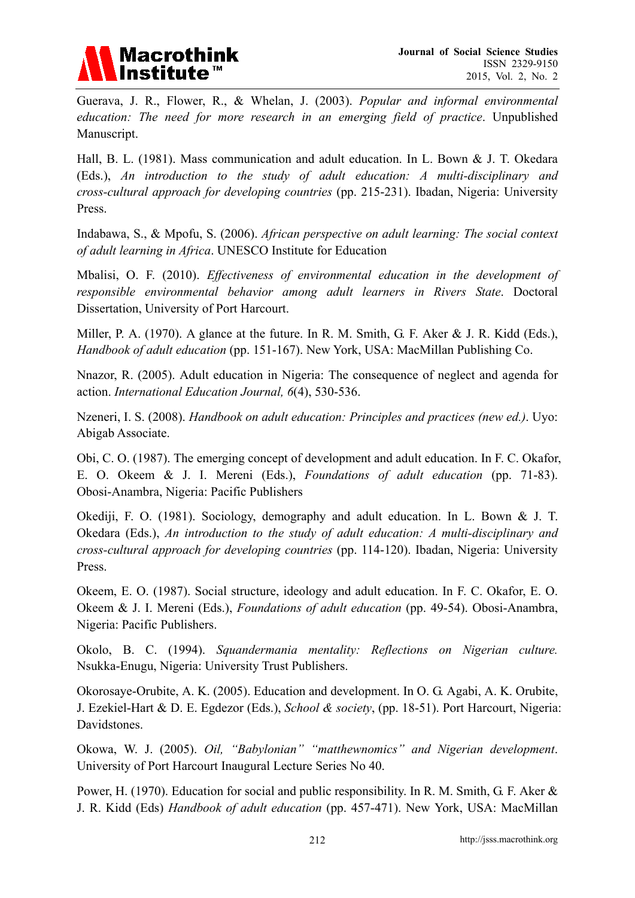

Guerava, J. R., Flower, R., & Whelan, J. (2003). *Popular and informal environmental education: The need for more research in an emerging field of practice*. Unpublished Manuscript.

Hall, B. L. (1981). Mass communication and adult education. In L. Bown & J. T. Okedara (Eds.), *An introduction to the study of adult education: A multi-disciplinary and cross-cultural approach for developing countries* (pp. 215-231). Ibadan, Nigeria: University Press.

Indabawa, S., & Mpofu, S. (2006). *African perspective on adult learning: The social context of adult learning in Africa*. UNESCO Institute for Education

Mbalisi, O. F. (2010). *Effectiveness of environmental education in the development of responsible environmental behavior among adult learners in Rivers State*. Doctoral Dissertation, University of Port Harcourt.

Miller, P. A. (1970). A glance at the future. In R. M. Smith, G. F. Aker & J. R. Kidd (Eds.), *Handbook of adult education* (pp. 151-167). New York, USA: MacMillan Publishing Co.

Nnazor, R. (2005). Adult education in Nigeria: The consequence of neglect and agenda for action. *International Education Journal, 6*(4), 530-536.

Nzeneri, I. S. (2008). *Handbook on adult education: Principles and practices (new ed.)*. Uyo: Abigab Associate.

Obi, C. O. (1987). The emerging concept of development and adult education. In F. C. Okafor, E. O. Okeem & J. I. Mereni (Eds.), *Foundations of adult education* (pp. 71-83). Obosi-Anambra, Nigeria: Pacific Publishers

Okediji, F. O. (1981). Sociology, demography and adult education. In L. Bown & J. T. Okedara (Eds.), *An introduction to the study of adult education: A multi-disciplinary and cross-cultural approach for developing countries* (pp. 114-120). Ibadan, Nigeria: University Press.

Okeem, E. O. (1987). Social structure, ideology and adult education. In F. C. Okafor, E. O. Okeem & J. I. Mereni (Eds.), *Foundations of adult education* (pp. 49-54). Obosi-Anambra, Nigeria: Pacific Publishers.

Okolo, B. C. (1994). *Squandermania mentality: Reflections on Nigerian culture.* Nsukka-Enugu, Nigeria: University Trust Publishers.

Okorosaye-Orubite, A. K. (2005). Education and development. In O. G. Agabi, A. K. Orubite, J. Ezekiel-Hart & D. E. Egdezor (Eds.), *School & society*, (pp. 18-51). Port Harcourt, Nigeria: Davidstones.

Okowa, W. J. (2005). *Oil, "Babylonian" "matthewnomics" and Nigerian development*. University of Port Harcourt Inaugural Lecture Series No 40.

Power, H. (1970). Education for social and public responsibility. In R. M. Smith, G. F. Aker & J. R. Kidd (Eds) *Handbook of adult education* (pp. 457-471). New York, USA: MacMillan